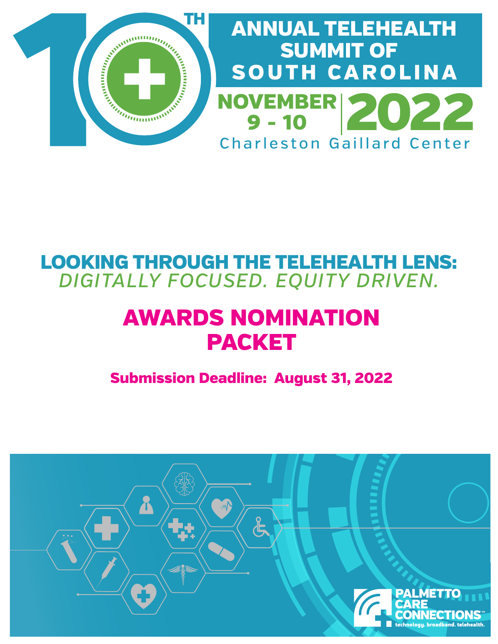

## LOOKING THROUGH THE TELEHEALTH LENS: *DIGITALLY FOCUSED. EQUITY DRIVEN.*

# AWARDS NOMINATION PACKET

Submission Deadline: August 31, 2022

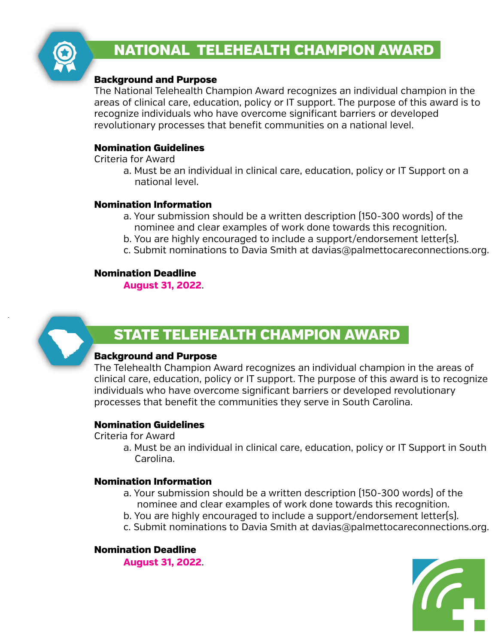

### NATIONAL TELEHEALTH CHAMPION AWARD

#### Background and Purpose

The National Telehealth Champion Award recognizes an individual champion in the areas of clinical care, education, policy or IT support. The purpose of this award is to recognize individuals who have overcome significant barriers or developed revolutionary processes that benefit communities on a national level.

#### Nomination Guidelines

Criteria for Award

 a. Must be an individual in clinical care, education, policy or IT Support on a national level.

#### Nomination Information

- a. Your submission should be a written description (150-300 words) of the nominee and clear examples of work done towards this recognition.
- b. You are highly encouraged to include a support/endorsement letter(s).
- c. Submit nominations to Davia Smith at davias@palmettocareconnections.org.

#### Nomination Deadline

**August 31, 2022**.



### STATE TELEHEALTH CHAMPION AWARD

#### Background and Purpose

The Telehealth Champion Award recognizes an individual champion in the areas of clinical care, education, policy or IT support. The purpose of this award is to recognize individuals who have overcome significant barriers or developed revolutionary processes that benefit the communities they serve in South Carolina.

#### Nomination Guidelines

Criteria for Award

 a. Must be an individual in clinical care, education, policy or IT Support in South Carolina.

#### Nomination Information

- a. Your submission should be a written description (150-300 words) of the nominee and clear examples of work done towards this recognition.
- b. You are highly encouraged to include a support/endorsement letter(s).
- c. Submit nominations to Davia Smith at davias@palmettocareconnections.org.

#### Nomination Deadline

**August 31, 2022**.

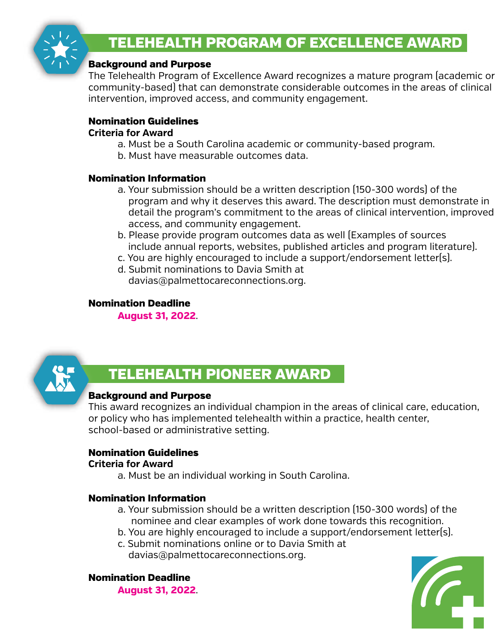

### TELEHEALTH PROGRAM OF EXCELLENCE AWARD

#### Background and Purpose

The Telehealth Program of Excellence Award recognizes a mature program (academic or community-based) that can demonstrate considerable outcomes in the areas of clinical intervention, improved access, and community engagement.

#### Nomination Guidelines

#### **Criteria for Award**

- a. Must be a South Carolina academic or community-based program.
- b. Must have measurable outcomes data.

#### Nomination Information

- a. Your submission should be a written description (150-300 words) of the program and why it deserves this award. The description must demonstrate in detail the program's commitment to the areas of clinical intervention, improved access, and community engagement.
- b. Please provide program outcomes data as well (Examples of sources include annual reports, websites, published articles and program literature).
- c. You are highly encouraged to include a support/endorsement letter(s).
- d. Submit nominations to Davia Smith at davias@palmettocareconnections.org.

#### Nomination Deadline

**August 31, 2022**.



### TELEHEALTH PIONEER AWARD

#### Background and Purpose

This award recognizes an individual champion in the areas of clinical care, education, or policy who has implemented telehealth within a practice, health center, school-based or administrative setting.

#### Nomination Guidelines

#### **Criteria for Award**

a. Must be an individual working in South Carolina.

#### Nomination Information

- a. Your submission should be a written description (150-300 words) of the nominee and clear examples of work done towards this recognition.
- b. You are highly encouraged to include a support/endorsement letter(s).
- c. Submit nominations online or to Davia Smith at davias@palmettocareconnections.org.

Nomination Deadline

**August 31, 2022**.

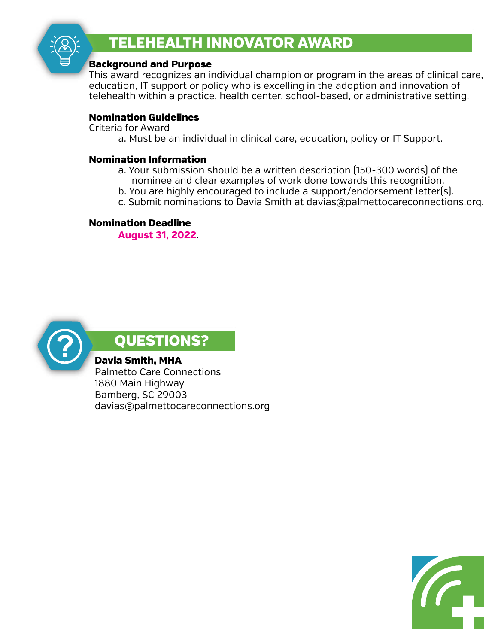

### TELEHEALTH INNOVATOR AWARD

#### Background and Purpose

This award recognizes an individual champion or program in the areas of clinical care, education, IT support or policy who is excelling in the adoption and innovation of telehealth within a practice, health center, school-based, or administrative setting.

#### Nomination Guidelines

Criteria for Award

a. Must be an individual in clinical care, education, policy or IT Support.

#### Nomination Information

- a. Your submission should be a written description (150-300 words) of the nominee and clear examples of work done towards this recognition.
- b. You are highly encouraged to include a support/endorsement letter(s).
- c. Submit nominations to Davia Smith at davias@palmettocareconnections.org.

#### Nomination Deadline

**August 31, 2022**.



### QUESTIONS?

Davia Smith, MHA

Palmetto Care Connections 1880 Main Highway Bamberg, SC 29003 davias@palmettocareconnections.org